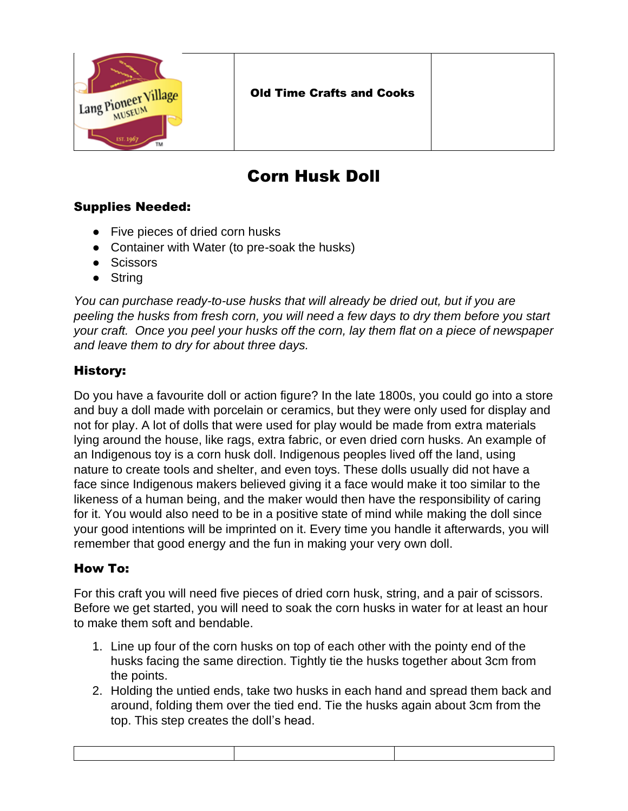

## Corn Husk Doll

## Supplies Needed:

- Five pieces of dried corn husks
- Container with Water (to pre-soak the husks)
- Scissors
- String

*You can purchase ready-to-use husks that will already be dried out, but if you are peeling the husks from fresh corn, you will need a few days to dry them before you start your craft. Once you peel your husks off the corn, lay them flat on a piece of newspaper and leave them to dry for about three days.*

## History:

Do you have a favourite doll or action figure? In the late 1800s, you could go into a store and buy a doll made with porcelain or ceramics, but they were only used for display and not for play. A lot of dolls that were used for play would be made from extra materials lying around the house, like rags, extra fabric, or even dried corn husks. An example of an Indigenous toy is a corn husk doll. Indigenous peoples lived off the land, using nature to create tools and shelter, and even toys. These dolls usually did not have a face since Indigenous makers believed giving it a face would make it too similar to the likeness of a human being, and the maker would then have the responsibility of caring for it. You would also need to be in a positive state of mind while making the doll since your good intentions will be imprinted on it. Every time you handle it afterwards, you will remember that good energy and the fun in making your very own doll.

## How To:

For this craft you will need five pieces of dried corn husk, string, and a pair of scissors. Before we get started, you will need to soak the corn husks in water for at least an hour to make them soft and bendable.

- 1. Line up four of the corn husks on top of each other with the pointy end of the husks facing the same direction. Tightly tie the husks together about 3cm from the points.
- 2. Holding the untied ends, take two husks in each hand and spread them back and around, folding them over the tied end. Tie the husks again about 3cm from the top. This step creates the doll's head.